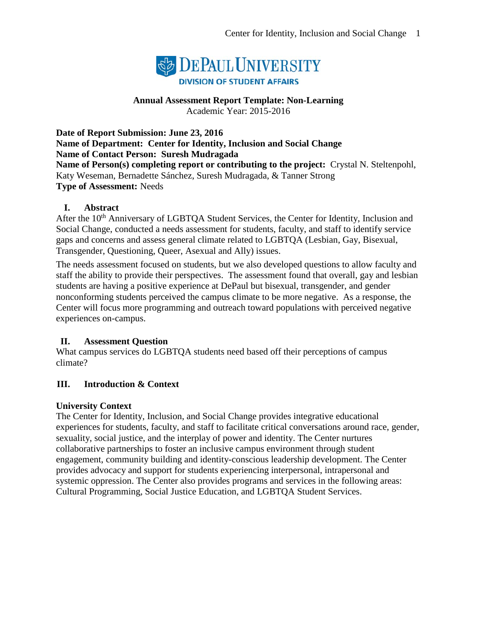

## **Annual Assessment Report Template: Non-Learning**

Academic Year: 2015-2016

**Date of Report Submission: June 23, 2016 Name of Department: Center for Identity, Inclusion and Social Change Name of Contact Person: Suresh Mudragada Name of Person(s) completing report or contributing to the project:** Crystal N. Steltenpohl, Katy Weseman, Bernadette Sánchez, Suresh Mudragada, & Tanner Strong **Type of Assessment:** Needs

#### **I. Abstract**

After the 10<sup>th</sup> Anniversary of LGBTQA Student Services, the Center for Identity, Inclusion and Social Change, conducted a needs assessment for students, faculty, and staff to identify service gaps and concerns and assess general climate related to LGBTQA (Lesbian, Gay, Bisexual, Transgender, Questioning, Queer, Asexual and Ally) issues.

The needs assessment focused on students, but we also developed questions to allow faculty and staff the ability to provide their perspectives. The assessment found that overall, gay and lesbian students are having a positive experience at DePaul but bisexual, transgender, and gender nonconforming students perceived the campus climate to be more negative. As a response, the Center will focus more programming and outreach toward populations with perceived negative experiences on-campus.

#### **II. Assessment Question**

What campus services do LGBTQA students need based off their perceptions of campus climate?

#### **III. Introduction & Context**

#### **University Context**

The Center for Identity, Inclusion, and Social Change provides integrative educational experiences for students, faculty, and staff to facilitate critical conversations around race, gender, sexuality, social justice, and the interplay of power and identity. The Center nurtures collaborative partnerships to foster an inclusive campus environment through student engagement, community building and identity-conscious leadership development. The Center provides advocacy and support for students experiencing interpersonal, intrapersonal and systemic oppression. The Center also provides programs and services in the following areas: Cultural Programming, Social Justice Education, and LGBTQA Student Services.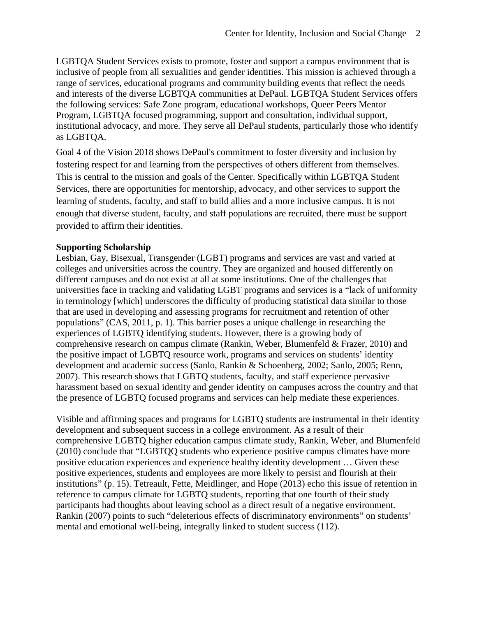LGBTQA Student Services exists to promote, foster and support a campus environment that is inclusive of people from all sexualities and gender identities. This mission is achieved through a range of services, educational programs and community building events that reflect the needs and interests of the diverse LGBTQA communities at DePaul. LGBTQA Student Services offers the following services: Safe Zone program, educational workshops, Queer Peers Mentor Program, LGBTQA focused programming, support and consultation, individual support, institutional advocacy, and more. They serve all DePaul students, particularly those who identify as LGBTQA.

Goal 4 of the Vision 2018 shows DePaul's commitment to foster diversity and inclusion by fostering respect for and learning from the perspectives of others different from themselves. This is central to the mission and goals of the Center. Specifically within LGBTQA Student Services, there are opportunities for mentorship, advocacy, and other services to support the learning of students, faculty, and staff to build allies and a more inclusive campus. It is not enough that diverse student, faculty, and staff populations are recruited, there must be support provided to affirm their identities.

#### **Supporting Scholarship**

Lesbian, Gay, Bisexual, Transgender (LGBT) programs and services are vast and varied at colleges and universities across the country. They are organized and housed differently on different campuses and do not exist at all at some institutions. One of the challenges that universities face in tracking and validating LGBT programs and services is a "lack of uniformity in terminology [which] underscores the difficulty of producing statistical data similar to those that are used in developing and assessing programs for recruitment and retention of other populations" (CAS, 2011, p. 1). This barrier poses a unique challenge in researching the experiences of LGBTQ identifying students. However, there is a growing body of comprehensive research on campus climate (Rankin, Weber, Blumenfeld & Frazer, 2010) and the positive impact of LGBTQ resource work, programs and services on students' identity development and academic success (Sanlo, Rankin & Schoenberg, 2002; Sanlo, 2005; Renn, 2007). This research shows that LGBTQ students, faculty, and staff experience pervasive harassment based on sexual identity and gender identity on campuses across the country and that the presence of LGBTQ focused programs and services can help mediate these experiences.

Visible and affirming spaces and programs for LGBTQ students are instrumental in their identity development and subsequent success in a college environment. As a result of their comprehensive LGBTQ higher education campus climate study, Rankin, Weber, and Blumenfeld (2010) conclude that "LGBTQQ students who experience positive campus climates have more positive education experiences and experience healthy identity development … Given these positive experiences, students and employees are more likely to persist and flourish at their institutions" (p. 15). Tetreault, Fette, Meidlinger, and Hope (2013) echo this issue of retention in reference to campus climate for LGBTQ students, reporting that one fourth of their study participants had thoughts about leaving school as a direct result of a negative environment. Rankin (2007) points to such "deleterious effects of discriminatory environments" on students' mental and emotional well-being, integrally linked to student success (112).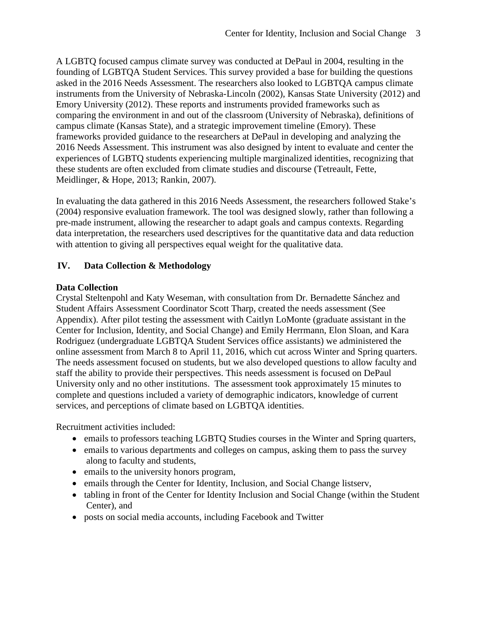A LGBTQ focused campus climate survey was conducted at DePaul in 2004, resulting in the founding of LGBTQA Student Services. This survey provided a base for building the questions asked in the 2016 Needs Assessment. The researchers also looked to LGBTQA campus climate instruments from the University of Nebraska-Lincoln (2002), Kansas State University (2012) and Emory University (2012). These reports and instruments provided frameworks such as comparing the environment in and out of the classroom (University of Nebraska), definitions of campus climate (Kansas State), and a strategic improvement timeline (Emory). These frameworks provided guidance to the researchers at DePaul in developing and analyzing the 2016 Needs Assessment. This instrument was also designed by intent to evaluate and center the experiences of LGBTQ students experiencing multiple marginalized identities, recognizing that these students are often excluded from climate studies and discourse (Tetreault, Fette, Meidlinger, & Hope, 2013; Rankin, 2007).

In evaluating the data gathered in this 2016 Needs Assessment, the researchers followed Stake's (2004) responsive evaluation framework. The tool was designed slowly, rather than following a pre-made instrument, allowing the researcher to adapt goals and campus contexts. Regarding data interpretation, the researchers used descriptives for the quantitative data and data reduction with attention to giving all perspectives equal weight for the qualitative data.

## **IV. Data Collection & Methodology**

#### **Data Collection**

Crystal Steltenpohl and Katy Weseman, with consultation from Dr. Bernadette Sánchez and Student Affairs Assessment Coordinator Scott Tharp, created the needs assessment (See Appendix). After pilot testing the assessment with Caitlyn LoMonte (graduate assistant in the Center for Inclusion, Identity, and Social Change) and Emily Herrmann, Elon Sloan, and Kara Rodriguez (undergraduate LGBTQA Student Services office assistants) we administered the online assessment from March 8 to April 11, 2016, which cut across Winter and Spring quarters. The needs assessment focused on students, but we also developed questions to allow faculty and staff the ability to provide their perspectives. This needs assessment is focused on DePaul University only and no other institutions. The assessment took approximately 15 minutes to complete and questions included a variety of demographic indicators, knowledge of current services, and perceptions of climate based on LGBTQA identities.

Recruitment activities included:

- emails to professors teaching LGBTQ Studies courses in the Winter and Spring quarters,
- emails to various departments and colleges on campus, asking them to pass the survey along to faculty and students,
- emails to the university honors program,
- emails through the Center for Identity, Inclusion, and Social Change listserv,
- tabling in front of the Center for Identity Inclusion and Social Change (within the Student Center), and
- posts on social media accounts, including Facebook and Twitter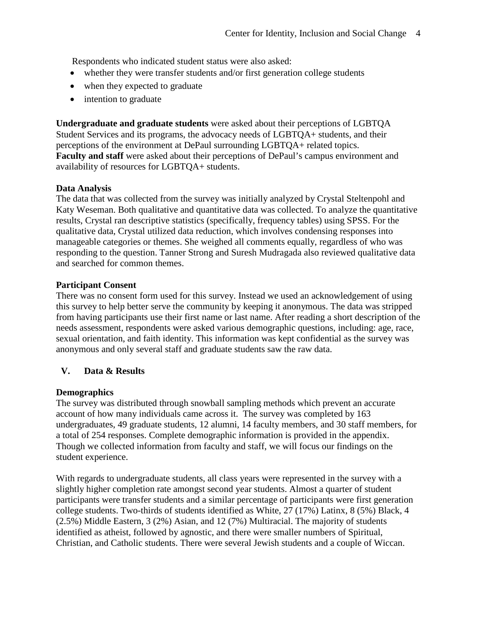Respondents who indicated student status were also asked:

- whether they were transfer students and/or first generation college students
- when they expected to graduate
- intention to graduate

**Undergraduate and graduate students** were asked about their perceptions of LGBTQA Student Services and its programs, the advocacy needs of LGBTQA+ students, and their perceptions of the environment at DePaul surrounding LGBTQA+ related topics. **Faculty and staff** were asked about their perceptions of DePaul's campus environment and availability of resources for LGBTQA+ students.

#### **Data Analysis**

The data that was collected from the survey was initially analyzed by Crystal Steltenpohl and Katy Weseman. Both qualitative and quantitative data was collected. To analyze the quantitative results, Crystal ran descriptive statistics (specifically, frequency tables) using SPSS. For the qualitative data, Crystal utilized data reduction, which involves condensing responses into manageable categories or themes. She weighed all comments equally, regardless of who was responding to the question. Tanner Strong and Suresh Mudragada also reviewed qualitative data and searched for common themes.

#### **Participant Consent**

There was no consent form used for this survey. Instead we used an acknowledgement of using this survey to help better serve the community by keeping it anonymous. The data was stripped from having participants use their first name or last name. After reading a short description of the needs assessment, respondents were asked various demographic questions, including: age, race, sexual orientation, and faith identity. This information was kept confidential as the survey was anonymous and only several staff and graduate students saw the raw data.

#### **V. Data & Results**

#### **Demographics**

The survey was distributed through snowball sampling methods which prevent an accurate account of how many individuals came across it. The survey was completed by 163 undergraduates, 49 graduate students, 12 alumni, 14 faculty members, and 30 staff members, for a total of 254 responses. Complete demographic information is provided in the appendix. Though we collected information from faculty and staff, we will focus our findings on the student experience.

With regards to undergraduate students, all class years were represented in the survey with a slightly higher completion rate amongst second year students. Almost a quarter of student participants were transfer students and a similar percentage of participants were first generation college students. Two-thirds of students identified as White, 27 (17%) Latinx, 8 (5%) Black, 4 (2.5%) Middle Eastern, 3 (2%) Asian, and 12 (7%) Multiracial. The majority of students identified as atheist, followed by agnostic, and there were smaller numbers of Spiritual, Christian, and Catholic students. There were several Jewish students and a couple of Wiccan.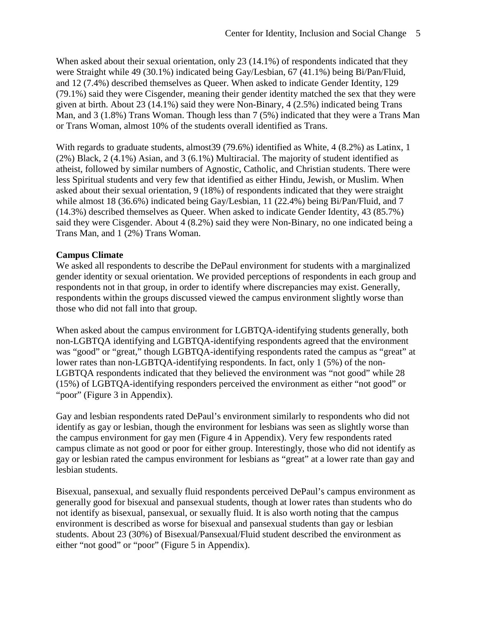When asked about their sexual orientation, only 23 (14.1%) of respondents indicated that they were Straight while 49 (30.1%) indicated being Gay/Lesbian, 67 (41.1%) being Bi/Pan/Fluid, and 12 (7.4%) described themselves as Queer. When asked to indicate Gender Identity, 129 (79.1%) said they were Cisgender, meaning their gender identity matched the sex that they were given at birth. About 23 (14.1%) said they were Non-Binary, 4 (2.5%) indicated being Trans Man, and 3 (1.8%) Trans Woman. Though less than 7 (5%) indicated that they were a Trans Man or Trans Woman, almost 10% of the students overall identified as Trans.

With regards to graduate students, almost39 (79.6%) identified as White, 4 (8.2%) as Latinx, 1 (2%) Black, 2 (4.1%) Asian, and 3 (6.1%) Multiracial. The majority of student identified as atheist, followed by similar numbers of Agnostic, Catholic, and Christian students. There were less Spiritual students and very few that identified as either Hindu, Jewish, or Muslim. When asked about their sexual orientation, 9 (18%) of respondents indicated that they were straight while almost 18 (36.6%) indicated being Gay/Lesbian, 11 (22.4%) being Bi/Pan/Fluid, and 7 (14.3%) described themselves as Queer. When asked to indicate Gender Identity, 43 (85.7%) said they were Cisgender. About 4 (8.2%) said they were Non-Binary, no one indicated being a Trans Man, and 1 (2%) Trans Woman.

#### **Campus Climate**

We asked all respondents to describe the DePaul environment for students with a marginalized gender identity or sexual orientation. We provided perceptions of respondents in each group and respondents not in that group, in order to identify where discrepancies may exist. Generally, respondents within the groups discussed viewed the campus environment slightly worse than those who did not fall into that group.

When asked about the campus environment for LGBTQA-identifying students generally, both non-LGBTQA identifying and LGBTQA-identifying respondents agreed that the environment was "good" or "great," though LGBTQA-identifying respondents rated the campus as "great" at lower rates than non-LGBTQA-identifying respondents. In fact, only 1 (5%) of the non-LGBTQA respondents indicated that they believed the environment was "not good" while 28 (15%) of LGBTQA-identifying responders perceived the environment as either "not good" or "poor" (Figure 3 in Appendix).

Gay and lesbian respondents rated DePaul's environment similarly to respondents who did not identify as gay or lesbian, though the environment for lesbians was seen as slightly worse than the campus environment for gay men (Figure 4 in Appendix). Very few respondents rated campus climate as not good or poor for either group. Interestingly, those who did not identify as gay or lesbian rated the campus environment for lesbians as "great" at a lower rate than gay and lesbian students.

Bisexual, pansexual, and sexually fluid respondents perceived DePaul's campus environment as generally good for bisexual and pansexual students, though at lower rates than students who do not identify as bisexual, pansexual, or sexually fluid. It is also worth noting that the campus environment is described as worse for bisexual and pansexual students than gay or lesbian students. About 23 (30%) of Bisexual/Pansexual/Fluid student described the environment as either "not good" or "poor" (Figure 5 in Appendix).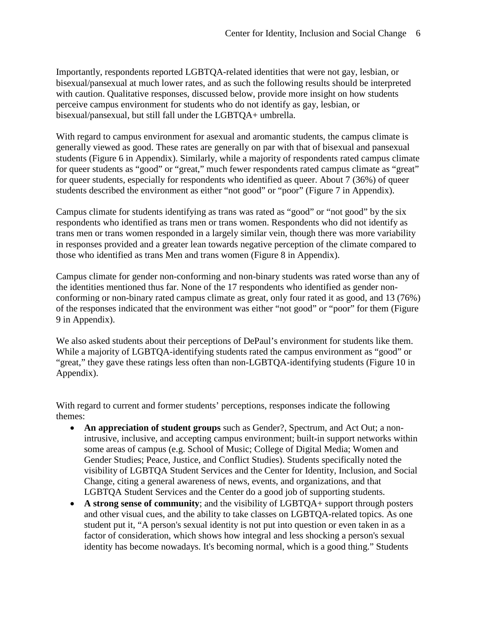Importantly, respondents reported LGBTQA-related identities that were not gay, lesbian, or bisexual/pansexual at much lower rates, and as such the following results should be interpreted with caution. Qualitative responses, discussed below, provide more insight on how students perceive campus environment for students who do not identify as gay, lesbian, or bisexual/pansexual, but still fall under the LGBTQA+ umbrella.

With regard to campus environment for asexual and aromantic students, the campus climate is generally viewed as good. These rates are generally on par with that of bisexual and pansexual students (Figure 6 in Appendix). Similarly, while a majority of respondents rated campus climate for queer students as "good" or "great," much fewer respondents rated campus climate as "great" for queer students, especially for respondents who identified as queer. About 7 (36%) of queer students described the environment as either "not good" or "poor" (Figure 7 in Appendix).

Campus climate for students identifying as trans was rated as "good" or "not good" by the six respondents who identified as trans men or trans women. Respondents who did not identify as trans men or trans women responded in a largely similar vein, though there was more variability in responses provided and a greater lean towards negative perception of the climate compared to those who identified as trans Men and trans women (Figure 8 in Appendix).

Campus climate for gender non-conforming and non-binary students was rated worse than any of the identities mentioned thus far. None of the 17 respondents who identified as gender nonconforming or non-binary rated campus climate as great, only four rated it as good, and 13 (76%) of the responses indicated that the environment was either "not good" or "poor" for them (Figure 9 in Appendix).

We also asked students about their perceptions of DePaul's environment for students like them. While a majority of LGBTQA-identifying students rated the campus environment as "good" or "great," they gave these ratings less often than non-LGBTQA-identifying students (Figure 10 in Appendix).

With regard to current and former students' perceptions, responses indicate the following themes:

- **An appreciation of student groups** such as Gender?, Spectrum, and Act Out; a nonintrusive, inclusive, and accepting campus environment; built-in support networks within some areas of campus (e.g. School of Music; College of Digital Media; Women and Gender Studies; Peace, Justice, and Conflict Studies). Students specifically noted the visibility of LGBTQA Student Services and the Center for Identity, Inclusion, and Social Change, citing a general awareness of news, events, and organizations, and that LGBTQA Student Services and the Center do a good job of supporting students.
- **A strong sense of community**; and the visibility of LGBTQA+ support through posters and other visual cues, and the ability to take classes on LGBTQA-related topics. As one student put it, "A person's sexual identity is not put into question or even taken in as a factor of consideration, which shows how integral and less shocking a person's sexual identity has become nowadays. It's becoming normal, which is a good thing." Students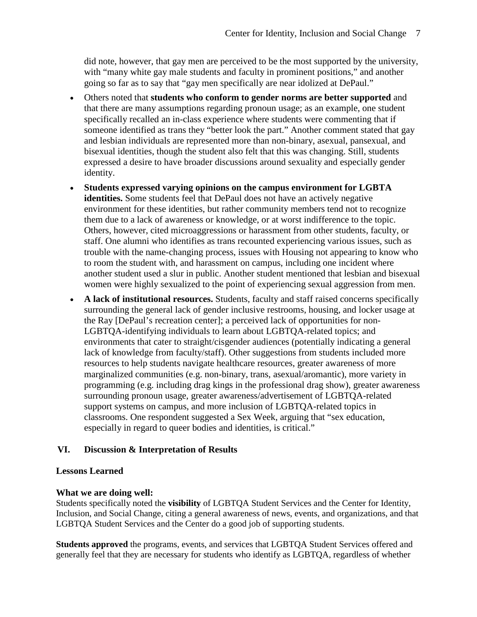did note, however, that gay men are perceived to be the most supported by the university, with "many white gay male students and faculty in prominent positions," and another going so far as to say that "gay men specifically are near idolized at DePaul."

- Others noted that **students who conform to gender norms are better supported** and that there are many assumptions regarding pronoun usage; as an example, one student specifically recalled an in-class experience where students were commenting that if someone identified as trans they "better look the part." Another comment stated that gay and lesbian individuals are represented more than non-binary, asexual, pansexual, and bisexual identities, though the student also felt that this was changing. Still, students expressed a desire to have broader discussions around sexuality and especially gender identity.
- **Students expressed varying opinions on the campus environment for LGBTA identities.** Some students feel that DePaul does not have an actively negative environment for these identities, but rather community members tend not to recognize them due to a lack of awareness or knowledge, or at worst indifference to the topic. Others, however, cited microaggressions or harassment from other students, faculty, or staff. One alumni who identifies as trans recounted experiencing various issues, such as trouble with the name-changing process, issues with Housing not appearing to know who to room the student with, and harassment on campus, including one incident where another student used a slur in public. Another student mentioned that lesbian and bisexual women were highly sexualized to the point of experiencing sexual aggression from men.
- **A lack of institutional resources.** Students, faculty and staff raised concerns specifically surrounding the general lack of gender inclusive restrooms, housing, and locker usage at the Ray [DePaul's recreation center]; a perceived lack of opportunities for non-LGBTQA-identifying individuals to learn about LGBTQA-related topics; and environments that cater to straight/cisgender audiences (potentially indicating a general lack of knowledge from faculty/staff). Other suggestions from students included more resources to help students navigate healthcare resources, greater awareness of more marginalized communities (e.g. non-binary, trans, asexual/aromantic), more variety in programming (e.g. including drag kings in the professional drag show), greater awareness surrounding pronoun usage, greater awareness/advertisement of LGBTQA-related support systems on campus, and more inclusion of LGBTQA-related topics in classrooms. One respondent suggested a Sex Week, arguing that "sex education, especially in regard to queer bodies and identities, is critical."

#### **VI. Discussion & Interpretation of Results**

#### **Lessons Learned**

#### **What we are doing well:**

Students specifically noted the **visibility** of LGBTQA Student Services and the Center for Identity, Inclusion, and Social Change, citing a general awareness of news, events, and organizations, and that LGBTQA Student Services and the Center do a good job of supporting students.

**Students approved** the programs, events, and services that LGBTQA Student Services offered and generally feel that they are necessary for students who identify as LGBTQA, regardless of whether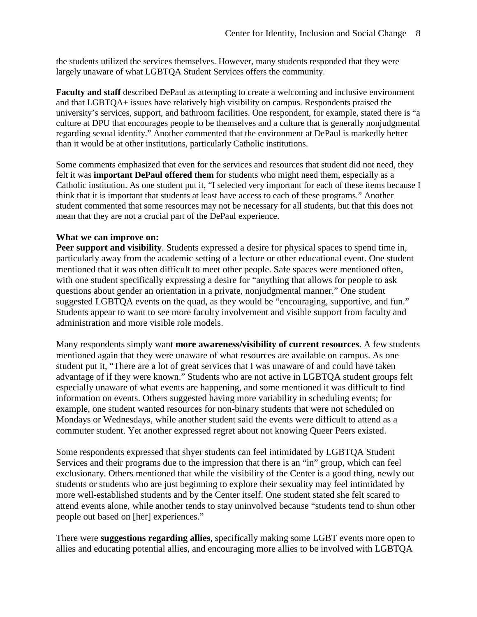the students utilized the services themselves. However, many students responded that they were largely unaware of what LGBTQA Student Services offers the community.

**Faculty and staff** described DePaul as attempting to create a welcoming and inclusive environment and that LGBTQA+ issues have relatively high visibility on campus. Respondents praised the university's services, support, and bathroom facilities. One respondent, for example, stated there is "a culture at DPU that encourages people to be themselves and a culture that is generally nonjudgmental regarding sexual identity." Another commented that the environment at DePaul is markedly better than it would be at other institutions, particularly Catholic institutions.

Some comments emphasized that even for the services and resources that student did not need, they felt it was **important DePaul offered them** for students who might need them, especially as a Catholic institution. As one student put it, "I selected very important for each of these items because I think that it is important that students at least have access to each of these programs." Another student commented that some resources may not be necessary for all students, but that this does not mean that they are not a crucial part of the DePaul experience.

#### **What we can improve on:**

**Peer support and visibility**. Students expressed a desire for physical spaces to spend time in, particularly away from the academic setting of a lecture or other educational event. One student mentioned that it was often difficult to meet other people. Safe spaces were mentioned often, with one student specifically expressing a desire for "anything that allows for people to ask questions about gender an orientation in a private, nonjudgmental manner." One student suggested LGBTQA events on the quad, as they would be "encouraging, supportive, and fun." Students appear to want to see more faculty involvement and visible support from faculty and administration and more visible role models.

Many respondents simply want **more awareness/visibility of current resources**. A few students mentioned again that they were unaware of what resources are available on campus. As one student put it, "There are a lot of great services that I was unaware of and could have taken advantage of if they were known." Students who are not active in LGBTQA student groups felt especially unaware of what events are happening, and some mentioned it was difficult to find information on events. Others suggested having more variability in scheduling events; for example, one student wanted resources for non-binary students that were not scheduled on Mondays or Wednesdays, while another student said the events were difficult to attend as a commuter student. Yet another expressed regret about not knowing Queer Peers existed.

Some respondents expressed that shyer students can feel intimidated by LGBTQA Student Services and their programs due to the impression that there is an "in" group, which can feel exclusionary. Others mentioned that while the visibility of the Center is a good thing, newly out students or students who are just beginning to explore their sexuality may feel intimidated by more well-established students and by the Center itself. One student stated she felt scared to attend events alone, while another tends to stay uninvolved because "students tend to shun other people out based on [her] experiences."

There were **suggestions regarding allies**, specifically making some LGBT events more open to allies and educating potential allies, and encouraging more allies to be involved with LGBTQA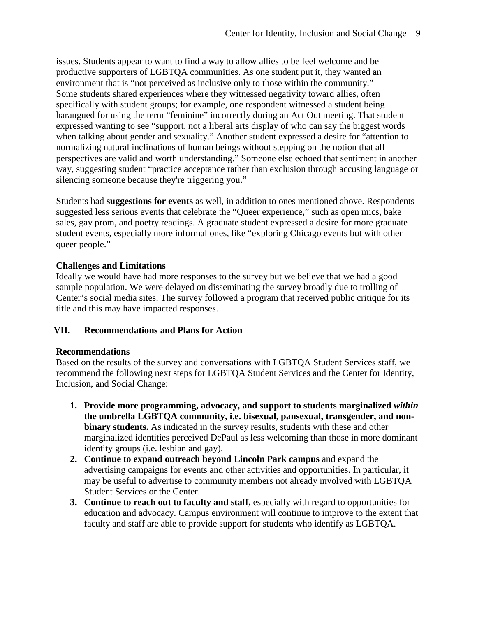issues. Students appear to want to find a way to allow allies to be feel welcome and be productive supporters of LGBTQA communities. As one student put it, they wanted an environment that is "not perceived as inclusive only to those within the community." Some students shared experiences where they witnessed negativity toward allies, often specifically with student groups; for example, one respondent witnessed a student being harangued for using the term "feminine" incorrectly during an Act Out meeting. That student expressed wanting to see "support, not a liberal arts display of who can say the biggest words when talking about gender and sexuality." Another student expressed a desire for "attention to normalizing natural inclinations of human beings without stepping on the notion that all perspectives are valid and worth understanding." Someone else echoed that sentiment in another way, suggesting student "practice acceptance rather than exclusion through accusing language or silencing someone because they're triggering you."

Students had **suggestions for events** as well, in addition to ones mentioned above. Respondents suggested less serious events that celebrate the "Queer experience," such as open mics, bake sales, gay prom, and poetry readings. A graduate student expressed a desire for more graduate student events, especially more informal ones, like "exploring Chicago events but with other queer people."

#### **Challenges and Limitations**

Ideally we would have had more responses to the survey but we believe that we had a good sample population. We were delayed on disseminating the survey broadly due to trolling of Center's social media sites. The survey followed a program that received public critique for its title and this may have impacted responses.

#### **VII. Recommendations and Plans for Action**

#### **Recommendations**

Based on the results of the survey and conversations with LGBTQA Student Services staff, we recommend the following next steps for LGBTQA Student Services and the Center for Identity, Inclusion, and Social Change:

- **1. Provide more programming, advocacy, and support to students marginalized** *within* **the umbrella LGBTQA community, i.e. bisexual, pansexual, transgender, and nonbinary students.** As indicated in the survey results, students with these and other marginalized identities perceived DePaul as less welcoming than those in more dominant identity groups (i.e. lesbian and gay).
- **2. Continue to expand outreach beyond Lincoln Park campus** and expand the advertising campaigns for events and other activities and opportunities. In particular, it may be useful to advertise to community members not already involved with LGBTQA Student Services or the Center.
- **3. Continue to reach out to faculty and staff,** especially with regard to opportunities for education and advocacy. Campus environment will continue to improve to the extent that faculty and staff are able to provide support for students who identify as LGBTQA.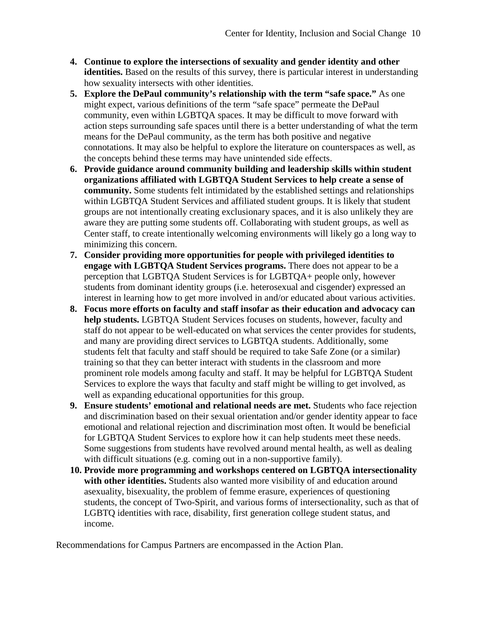- **4. Continue to explore the intersections of sexuality and gender identity and other identities.** Based on the results of this survey, there is particular interest in understanding how sexuality intersects with other identities.
- **5. Explore the DePaul community's relationship with the term "safe space."** As one might expect, various definitions of the term "safe space" permeate the DePaul community, even within LGBTQA spaces. It may be difficult to move forward with action steps surrounding safe spaces until there is a better understanding of what the term means for the DePaul community, as the term has both positive and negative connotations. It may also be helpful to explore the literature on counterspaces as well, as the concepts behind these terms may have unintended side effects.
- **6. Provide guidance around community building and leadership skills within student organizations affiliated with LGBTQA Student Services to help create a sense of community.** Some students felt intimidated by the established settings and relationships within LGBTQA Student Services and affiliated student groups. It is likely that student groups are not intentionally creating exclusionary spaces, and it is also unlikely they are aware they are putting some students off. Collaborating with student groups, as well as Center staff, to create intentionally welcoming environments will likely go a long way to minimizing this concern.
- **7. Consider providing more opportunities for people with privileged identities to engage with LGBTQA Student Services programs.** There does not appear to be a perception that LGBTQA Student Services is for LGBTQA+ people only, however students from dominant identity groups (i.e. heterosexual and cisgender) expressed an interest in learning how to get more involved in and/or educated about various activities.
- **8. Focus more efforts on faculty and staff insofar as their education and advocacy can help students.** LGBTQA Student Services focuses on students, however, faculty and staff do not appear to be well-educated on what services the center provides for students, and many are providing direct services to LGBTQA students. Additionally, some students felt that faculty and staff should be required to take Safe Zone (or a similar) training so that they can better interact with students in the classroom and more prominent role models among faculty and staff. It may be helpful for LGBTQA Student Services to explore the ways that faculty and staff might be willing to get involved, as well as expanding educational opportunities for this group.
- **9. Ensure students' emotional and relational needs are met.** Students who face rejection and discrimination based on their sexual orientation and/or gender identity appear to face emotional and relational rejection and discrimination most often. It would be beneficial for LGBTQA Student Services to explore how it can help students meet these needs. Some suggestions from students have revolved around mental health, as well as dealing with difficult situations (e.g. coming out in a non-supportive family).
- **10. Provide more programming and workshops centered on LGBTQA intersectionality with other identities.** Students also wanted more visibility of and education around asexuality, bisexuality, the problem of femme erasure, experiences of questioning students, the concept of Two-Spirit, and various forms of intersectionality, such as that of LGBTQ identities with race, disability, first generation college student status, and income.

Recommendations for Campus Partners are encompassed in the Action Plan.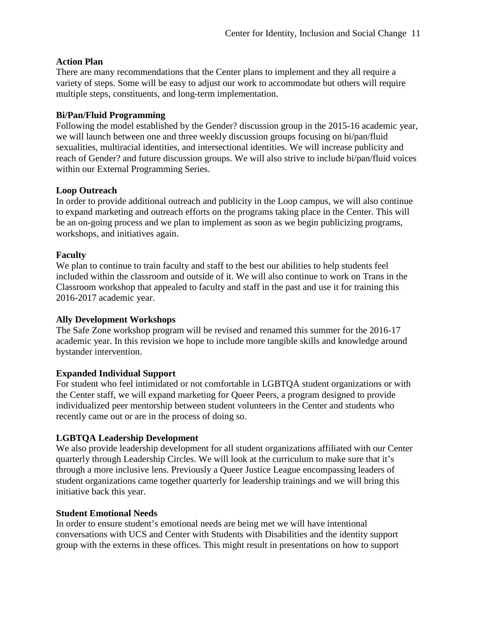#### **Action Plan**

There are many recommendations that the Center plans to implement and they all require a variety of steps. Some will be easy to adjust our work to accommodate but others will require multiple steps, constituents, and long-term implementation.

#### **Bi/Pan/Fluid Programming**

Following the model established by the Gender? discussion group in the 2015-16 academic year, we will launch between one and three weekly discussion groups focusing on bi/pan/fluid sexualities, multiracial identities, and intersectional identities. We will increase publicity and reach of Gender? and future discussion groups. We will also strive to include bi/pan/fluid voices within our External Programming Series.

#### **Loop Outreach**

In order to provide additional outreach and publicity in the Loop campus, we will also continue to expand marketing and outreach efforts on the programs taking place in the Center. This will be an on-going process and we plan to implement as soon as we begin publicizing programs, workshops, and initiatives again.

#### **Faculty**

We plan to continue to train faculty and staff to the best our abilities to help students feel included within the classroom and outside of it. We will also continue to work on Trans in the Classroom workshop that appealed to faculty and staff in the past and use it for training this 2016-2017 academic year.

#### **Ally Development Workshops**

The Safe Zone workshop program will be revised and renamed this summer for the 2016-17 academic year. In this revision we hope to include more tangible skills and knowledge around bystander intervention.

#### **Expanded Individual Support**

For student who feel intimidated or not comfortable in LGBTQA student organizations or with the Center staff, we will expand marketing for Queer Peers, a program designed to provide individualized peer mentorship between student volunteers in the Center and students who recently came out or are in the process of doing so.

#### **LGBTQA Leadership Development**

We also provide leadership development for all student organizations affiliated with our Center quarterly through Leadership Circles. We will look at the curriculum to make sure that it's through a more inclusive lens. Previously a Queer Justice League encompassing leaders of student organizations came together quarterly for leadership trainings and we will bring this initiative back this year.

#### **Student Emotional Needs**

In order to ensure student's emotional needs are being met we will have intentional conversations with UCS and Center with Students with Disabilities and the identity support group with the externs in these offices. This might result in presentations on how to support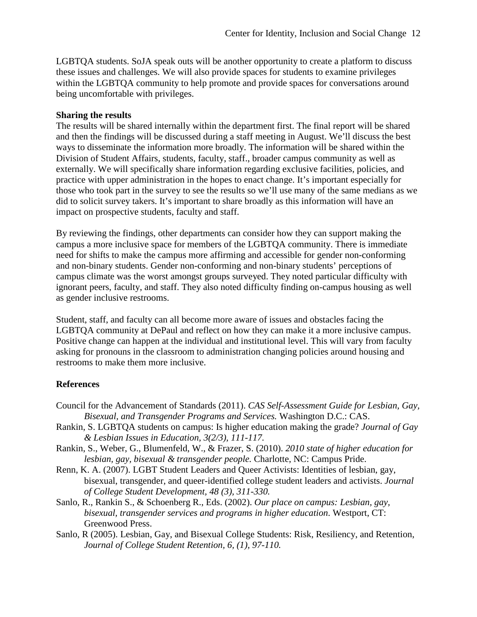LGBTQA students. SoJA speak outs will be another opportunity to create a platform to discuss these issues and challenges. We will also provide spaces for students to examine privileges within the LGBTQA community to help promote and provide spaces for conversations around being uncomfortable with privileges.

#### **Sharing the results**

The results will be shared internally within the department first. The final report will be shared and then the findings will be discussed during a staff meeting in August. We'll discuss the best ways to disseminate the information more broadly. The information will be shared within the Division of Student Affairs, students, faculty, staff., broader campus community as well as externally. We will specifically share information regarding exclusive facilities, policies, and practice with upper administration in the hopes to enact change. It's important especially for those who took part in the survey to see the results so we'll use many of the same medians as we did to solicit survey takers. It's important to share broadly as this information will have an impact on prospective students, faculty and staff.

By reviewing the findings, other departments can consider how they can support making the campus a more inclusive space for members of the LGBTQA community. There is immediate need for shifts to make the campus more affirming and accessible for gender non-conforming and non-binary students. Gender non-conforming and non-binary students' perceptions of campus climate was the worst amongst groups surveyed. They noted particular difficulty with ignorant peers, faculty, and staff. They also noted difficulty finding on-campus housing as well as gender inclusive restrooms.

Student, staff, and faculty can all become more aware of issues and obstacles facing the LGBTQA community at DePaul and reflect on how they can make it a more inclusive campus. Positive change can happen at the individual and institutional level. This will vary from faculty asking for pronouns in the classroom to administration changing policies around housing and restrooms to make them more inclusive.

#### **References**

- Council for the Advancement of Standards (2011). *CAS Self-Assessment Guide for Lesbian, Gay, Bisexual, and Transgender Programs and Services.* Washington D.C.: CAS.
- Rankin, S. LGBTQA students on campus: Is higher education making the grade? *Journal of Gay & Lesbian Issues in Education, 3(2/3), 111-117.*
- Rankin, S., Weber, G., Blumenfeld, W., & Frazer, S. (2010). *2010 state of higher education for lesbian, gay, bisexual & transgender people.* Charlotte, NC: Campus Pride.
- Renn, K. A. (2007). LGBT Student Leaders and Queer Activists: Identities of lesbian, gay, bisexual, transgender, and queer-identified college student leaders and activists. *Journal of College Student Development, 48 (3), 311-330.*
- Sanlo, R., Rankin S., & Schoenberg R., Eds. (2002). *Our place on campus: Lesbian, gay, bisexual, transgender services and programs in higher education*. Westport, CT: Greenwood Press.
- Sanlo, R (2005). Lesbian, Gay, and Bisexual College Students: Risk, Resiliency, and Retention, *Journal of College Student Retention, 6, (1), 97-110.*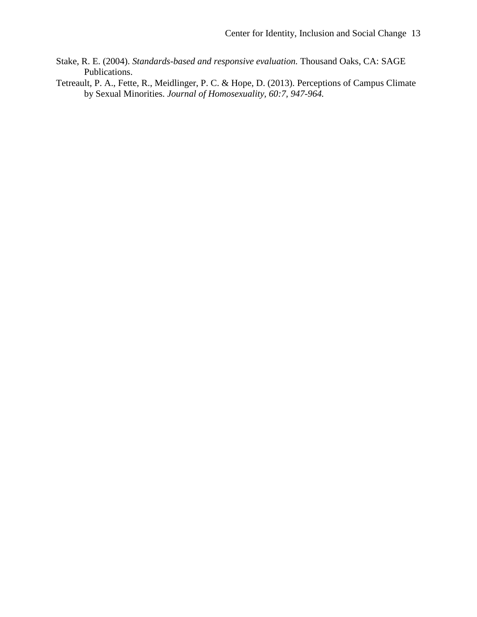- Stake, R. E. (2004). *Standards-based and responsive evaluation.* Thousand Oaks, CA: SAGE Publications.
- Tetreault, P. A., Fette, R., Meidlinger, P. C. & Hope, D. (2013). Perceptions of Campus Climate by Sexual Minorities. *Journal of Homosexuality, 60:7, 947-964.*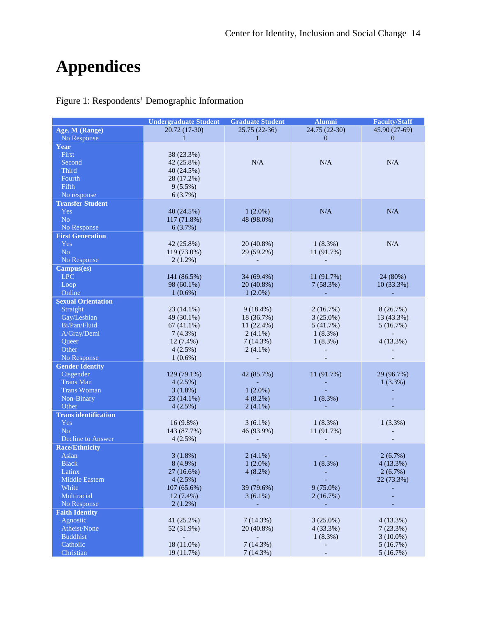# **Appendices**

Figure 1: Respondents' Demographic Information

|                             | <b>Undergraduate Student</b><br><b>Graduate Student</b><br><b>Alumni</b> |                          |               |               |
|-----------------------------|--------------------------------------------------------------------------|--------------------------|---------------|---------------|
| Age, M (Range)              | 20.72 (17-30)                                                            | 25.75 (22-36)            | 24.75 (22-30) | 45.90 (27-69) |
| No Response                 | $\mathbf{1}$                                                             | $\mathbf{1}$             | $\Omega$      | $\Omega$      |
| Year                        |                                                                          |                          |               |               |
| First                       | 38 (23.3%)                                                               |                          |               |               |
| Second                      | 42 (25.8%)                                                               | N/A                      | N/A           | N/A           |
| Third                       | 40 (24.5%)                                                               |                          |               |               |
| Fourth                      | 28 (17.2%)                                                               |                          |               |               |
| Fifth                       | $9(5.5\%)$                                                               |                          |               |               |
| No response                 | 6(3.7%)                                                                  |                          |               |               |
| <b>Transfer Student</b>     |                                                                          |                          |               |               |
| Yes                         | 40 (24.5%)                                                               | $1(2.0\%)$               | N/A           | N/A           |
| No                          | 117 (71.8%)                                                              | 48 (98.0%)               |               |               |
| No Response                 | 6(3.7%)                                                                  |                          |               |               |
| <b>First Generation</b>     |                                                                          |                          |               |               |
| Yes                         | 42 (25.8%)                                                               | 20 (40.8%)               | $1(8.3\%)$    | N/A           |
| No                          | 119 (73.0%)                                                              | 29 (59.2%)               | 11 (91.7%)    |               |
| No Response                 | $2(1.2\%)$                                                               |                          |               |               |
| Campus(es)                  |                                                                          |                          |               |               |
| <b>LPC</b>                  | 141 (86.5%)                                                              | 34 (69.4%)               | 11 (91.7%)    | 24 (80%)      |
| Loop                        | 98 (60.1%)                                                               | 20 (40.8%)               | 7(58.3%)      | 10(33.3%)     |
| Online                      | $1(0.6\%)$                                                               | $1(2.0\%)$               | $\mathbf{r}$  |               |
| <b>Sexual Orientation</b>   |                                                                          |                          |               |               |
| Straight                    | 23 (14.1%)                                                               | $9(18.4\%)$              | 2(16.7%)      | 8(26.7%)      |
| Gay/Lesbian                 | 49 (30.1%)                                                               | 18 (36.7%)               | $3(25.0\%)$   | 13 (43.3%)    |
| Bi/Pan/Fluid                | $67(41.1\%)$                                                             | 11 (22.4%)               | 5(41.7%)      | 5(16.7%)      |
| A/Gray/Demi                 | 7(4.3%)                                                                  | $2(4.1\%)$               | $1(8.3\%)$    |               |
| Queer                       | $12(7.4\%)$                                                              | 7(14.3%)                 | $1(8.3\%)$    | 4(13.3%)      |
| Other                       | 4(2.5%)                                                                  | $2(4.1\%)$               |               |               |
| No Response                 | $1(0.6\%)$                                                               |                          |               |               |
| <b>Gender Identity</b>      |                                                                          |                          |               |               |
| Cisgender                   | 129 (79.1%)                                                              | 42 (85.7%)               | 11 (91.7%)    | 29 (96.7%)    |
| <b>Trans Man</b>            | 4(2.5%)                                                                  |                          |               | $1(3.3\%)$    |
| <b>Trans Woman</b>          | 3(1.8%)                                                                  | $1(2.0\%)$               |               |               |
| Non-Binary                  | $23(14.1\%)$                                                             | $4(8.2\%)$               | $1(8.3\%)$    |               |
| Other                       | 4(2.5%)                                                                  | $2(4.1\%)$               |               |               |
| <b>Trans</b> identification |                                                                          |                          |               |               |
| Yes                         | $16(9.8\%)$                                                              | $3(6.1\%)$               | $1(8.3\%)$    | 1(3.3%)       |
| No                          | 143 (87.7%)                                                              | 46 (93.9%)               | 11 (91.7%)    |               |
| Decline to Answer           | 4(2.5%)                                                                  | $\overline{\phantom{a}}$ |               |               |
| <b>Race/Ethnicity</b>       |                                                                          |                          |               |               |
| Asian                       | $3(1.8\%)$                                                               | $2(4.1\%)$               |               | 2(6.7%)       |
| <b>Black</b>                | 8 (4.9%)                                                                 | $1(2.0\%)$               | 1(8.3%)       | 4(13.3%)      |
| Latinx                      | $27(16.6\%)$                                                             | 4(8.2%)                  |               | 2(6.7%)       |
| <b>Middle Eastern</b>       | 4(2.5%)                                                                  |                          |               | 22 (73.3%)    |
| White                       | $107(65.6\%)$                                                            | 39 (79.6%)               | $9(75.0\%)$   |               |
| Multiracial                 | $12(7.4\%)$                                                              | $3(6.1\%)$               | 2(16.7%)      |               |
| No Response                 | $2(1.2\%)$                                                               |                          |               |               |
| <b>Faith Identity</b>       |                                                                          |                          |               |               |
| Agnostic                    | 41 (25.2%)                                                               | 7(14.3%)                 | $3(25.0\%)$   | 4(13.3%)      |
| Atheist/None                | 52 (31.9%)                                                               | 20 (40.8%)               | 4(33.3%)      | 7(23.3%)      |
| <b>Buddhist</b>             |                                                                          | $\overline{\phantom{0}}$ | $1(8.3\%)$    | $3(10.0\%)$   |
| Catholic                    | 18 (11.0%)                                                               | 7(14.3%)                 |               | 5(16.7%)      |
| Christian                   | 19 (11.7%)                                                               | 7(14.3%)                 | -             | 5(16.7%)      |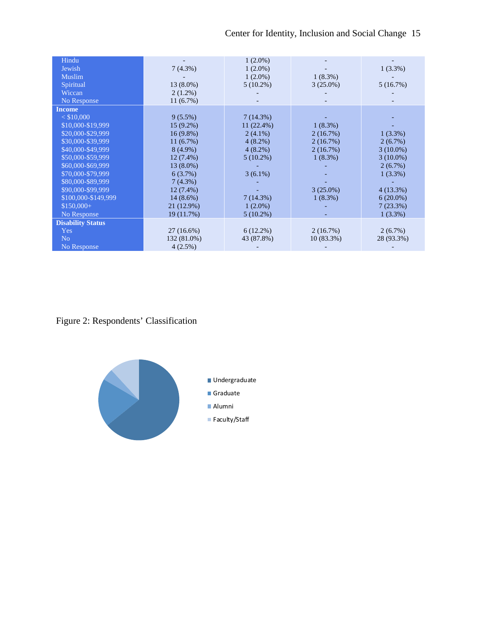| Hindu                    |              | $1(2.0\%)$   |             |             |
|--------------------------|--------------|--------------|-------------|-------------|
| Jewish                   | 7(4.3%)      | $1(2.0\%)$   |             | $1(3.3\%)$  |
| <b>Muslim</b>            |              | $1(2.0\%)$   | $1(8.3\%)$  |             |
| Spiritual                | $13(8.0\%)$  | $5(10.2\%)$  | $3(25.0\%)$ | 5(16.7%)    |
| Wiccan                   | $2(1.2\%)$   |              |             |             |
| No Response              | 11(6.7%)     |              |             |             |
| <b>Income</b>            |              |              |             |             |
| $<$ \$10,000             | $9(5.5\%)$   | 7(14.3%)     |             |             |
| \$10,000-\$19,999        | $15(9.2\%)$  | $11(22.4\%)$ | $1(8.3\%)$  |             |
| \$20,000-\$29,999        | $16(9.8\%)$  | $2(4.1\%)$   | 2(16.7%)    | $1(3.3\%)$  |
| \$30,000-\$39,999        | 11(6.7%)     | $4(8.2\%)$   | 2(16.7%)    | $2(6.7\%)$  |
| \$40,000-\$49,999        | $8(4.9\%)$   | $4(8.2\%)$   | 2(16.7%)    | $3(10.0\%)$ |
| \$50,000-\$59,999        | $12(7.4\%)$  | $5(10.2\%)$  | $1(8.3\%)$  | $3(10.0\%)$ |
| \$60,000-\$69,999        | 13 (8.0%)    |              |             | $2(6.7\%)$  |
| \$70,000-\$79,999        | 6(3.7%)      | $3(6.1\%)$   |             | $1(3.3\%)$  |
| \$80,000-\$89,999        | $7(4.3\%)$   |              |             |             |
| \$90,000-\$99,999        | $12(7.4\%)$  |              | $3(25.0\%)$ | 4(13.3%)    |
| \$100,000-\$149,999      | $14(8.6\%)$  | 7(14.3%)     | $1(8.3\%)$  | $6(20.0\%)$ |
| $$150,000+$              | 21 (12.9%)   | $1(2.0\%)$   |             | 7(23.3%)    |
| No Response              | 19 (11.7%)   | $5(10.2\%)$  |             | $1(3.3\%)$  |
| <b>Disability Status</b> |              |              |             |             |
| Yes                      | $27(16.6\%)$ | $6(12.2\%)$  | 2(16.7%)    | 2(6.7%)     |
| N <sub>o</sub>           | 132 (81.0%)  | 43 (87.8%)   | 10 (83.3%)  | 28 (93.3%)  |
| No Response              | $4(2.5\%)$   |              |             |             |

Figure 2: Respondents' Classification

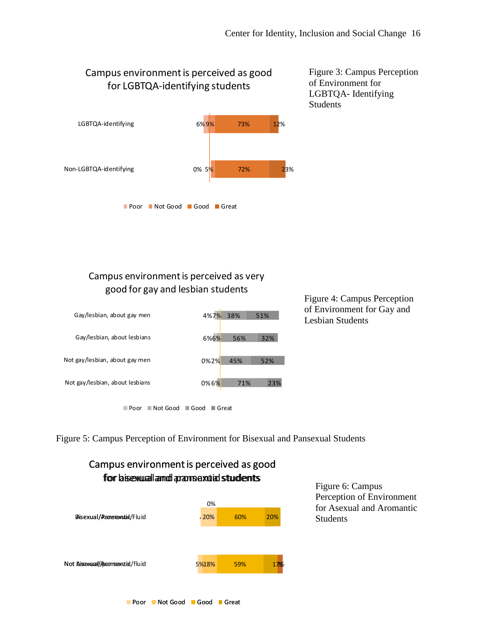## Campus environment is perceived as good for LGBTQA-identifying students



Figure 3: Campus Perception of Environment for LGBTQA- Identifying Students

## Campus environment is perceived as very good for gay and lesbian students



Figure 4: Campus Perception of Environment for Gay and Lesbian Students

■Poor Not Good Good Great

Figure 5: Campus Perception of Environment for Bisexual and Pansexual Students

#### Figure 6: Campus Perception of Environment for Asexual and Aromantic Students 5<mark>%18%</mark>  $20\%$ 62% 59% 54% 60% 19% 17%  $|20%$ Not Aiseexuaal//paamsexutiet/fluid BAisexual/Raonsmentraid/Fluid Campus environment is perceived as good for bisexual and pansexual students for asexual and aromantic students 0%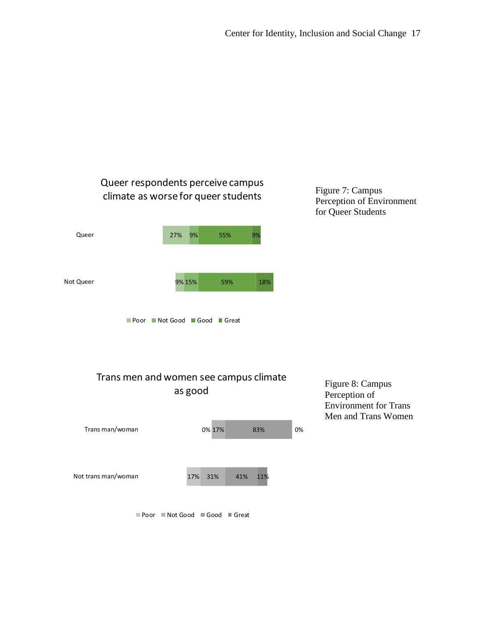

41%

11%



■ Poor Not Good Good Great

17% 31%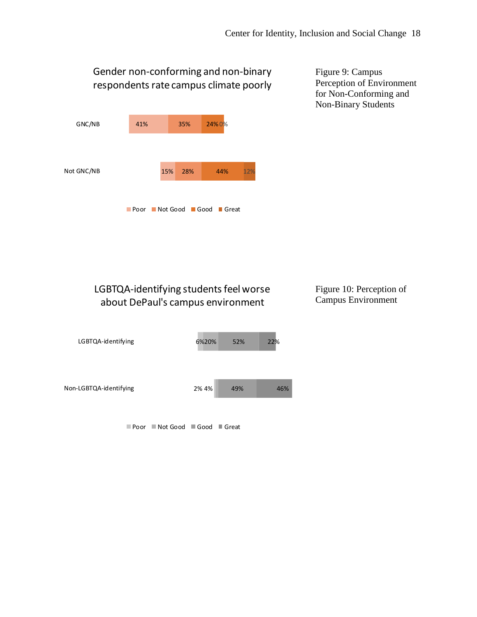# Gender non-conforming and non-binary respondents rate campus climate poorly



Figure 9: Campus Perception of Environment for Non-Conforming and Non-Binary Students

# LGBTQA-identifying students feel worse about DePaul's campus environment

### Figure 10: Perception of Campus Environment



■ Poor ■ Not Good ■ Good ■ Great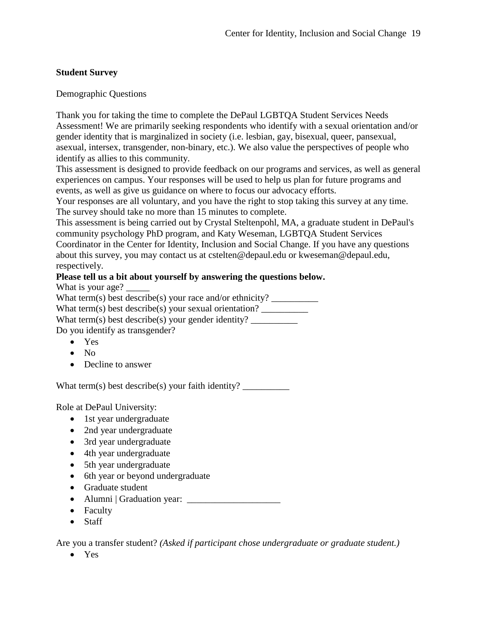## **Student Survey**

Demographic Questions

Thank you for taking the time to complete the DePaul LGBTQA Student Services Needs Assessment! We are primarily seeking respondents who identify with a sexual orientation and/or gender identity that is marginalized in society (i.e. lesbian, gay, bisexual, queer, pansexual, asexual, intersex, transgender, non-binary, etc.). We also value the perspectives of people who identify as allies to this community.

This assessment is designed to provide feedback on our programs and services, as well as general experiences on campus. Your responses will be used to help us plan for future programs and events, as well as give us guidance on where to focus our advocacy efforts.

Your responses are all voluntary, and you have the right to stop taking this survey at any time. The survey should take no more than 15 minutes to complete.

This assessment is being carried out by Crystal Steltenpohl, MA, a graduate student in DePaul's community psychology PhD program, and Katy Weseman, LGBTQA Student Services Coordinator in the Center for Identity, Inclusion and Social Change. If you have any questions about this survey, you may contact us at cstelten@depaul.edu or kweseman@depaul.edu, respectively.

#### **Please tell us a bit about yourself by answering the questions below.**

What is your age? What term(s) best describe(s) your race and/or ethnicity?  $\frac{1}{\sqrt{2\pi}}$ What term(s) best describe(s) your sexual orientation? What term(s) best describe(s) your gender identity?

Do you identify as transgender?

- Yes
- No
- Decline to answer

What term(s) best describe(s) your faith identity?

Role at DePaul University:

- 1st year undergraduate
- 2nd year undergraduate
- 3rd year undergraduate
- 4th year undergraduate
- 5th year undergraduate
- 6th year or beyond undergraduate
- Graduate student
- Alumni | Graduation year: \_\_\_\_\_\_\_\_\_\_\_\_\_\_\_\_\_\_\_\_
- Faculty
- Staff

Are you a transfer student? *(Asked if participant chose undergraduate or graduate student.)*

• Yes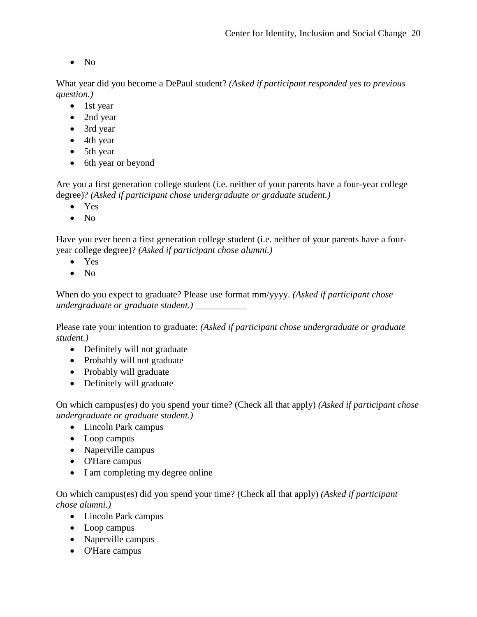• No

What year did you become a DePaul student? *(Asked if participant responded yes to previous question.)*

- 1st year
- 2nd year
- 3rd year
- 4th year
- 5th year
- 6th year or beyond

Are you a first generation college student (i.e. neither of your parents have a four-year college degree)? *(Asked if participant chose undergraduate or graduate student.)*

- Yes
- No

Have you ever been a first generation college student (i.e. neither of your parents have a fouryear college degree)? *(Asked if participant chose alumni.)*

- Yes
- No

When do you expect to graduate? Please use format mm/yyyy. *(Asked if participant chose undergraduate or graduate student.)* \_\_\_\_\_\_\_\_\_\_\_

Please rate your intention to graduate: *(Asked if participant chose undergraduate or graduate student.)*

- Definitely will not graduate
- Probably will not graduate
- Probably will graduate
- Definitely will graduate

On which campus(es) do you spend your time? (Check all that apply) *(Asked if participant chose undergraduate or graduate student.)*

- Lincoln Park campus
- Loop campus
- Naperville campus
- O'Hare campus
- I am completing my degree online

On which campus(es) did you spend your time? (Check all that apply) *(Asked if participant chose alumni.)*

- Lincoln Park campus
- Loop campus
- Naperville campus
- O'Hare campus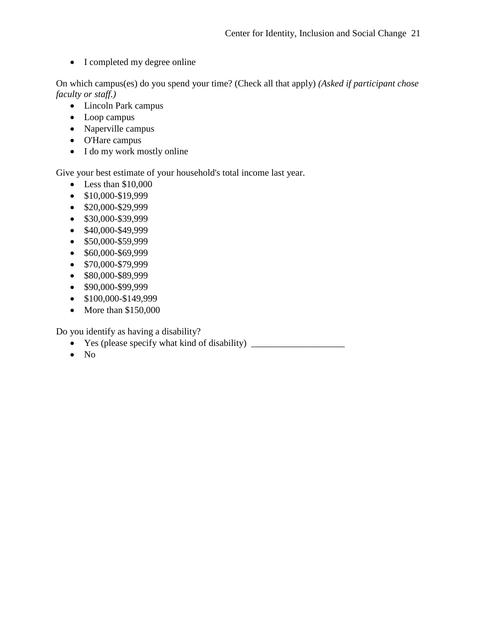• I completed my degree online

On which campus(es) do you spend your time? (Check all that apply) *(Asked if participant chose faculty or staff.)*

- Lincoln Park campus
- Loop campus
- Naperville campus
- O'Hare campus
- I do my work mostly online

Give your best estimate of your household's total income last year.

- Less than \$10,000
- $$10,000-S19,999$
- \$20,000-\$29,999
- \$30,000-\$39,999
- \$40,000-\$49,999
- \$50,000-\$59,999
- \$60,000-\$69,999
- \$70,000-\$79,999
- \$80,000-\$89,999
- \$90,000-\$99,999
- \$100,000-\$149,999
- More than \$150,000

Do you identify as having a disability?

- Yes (please specify what kind of disability)
- No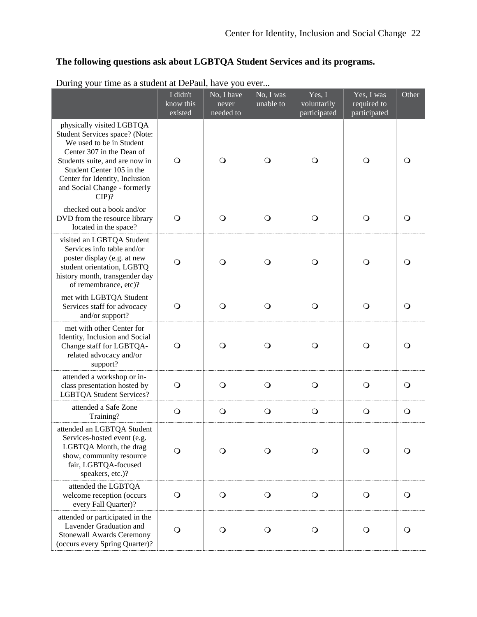# **The following questions ask about LGBTQA Student Services and its programs.**

| $\circ$                                                                                                                                                                                                                                                          | I didn't<br>know this<br>existed | No, I have<br>never<br>needed to | No, I was<br>unable to | Yes, I<br>voluntarily<br>participated | Yes, $\overline{I$ was<br>required to<br>participated | Other      |
|------------------------------------------------------------------------------------------------------------------------------------------------------------------------------------------------------------------------------------------------------------------|----------------------------------|----------------------------------|------------------------|---------------------------------------|-------------------------------------------------------|------------|
| physically visited LGBTQA<br>Student Services space? (Note:<br>We used to be in Student<br>Center 307 in the Dean of<br>Students suite, and are now in<br>Student Center 105 in the<br>Center for Identity, Inclusion<br>and Social Change - formerly<br>$CIP$ ? | O                                | O                                | $\Omega$               | $\circ$                               | $\mathbf O$                                           | $\circ$    |
| checked out a book and/or<br>DVD from the resource library<br>located in the space?                                                                                                                                                                              | $\circ$                          | $\circ$                          | $\circ$                | $\circ$                               | $\circ$                                               | $\circ$    |
| visited an LGBTQA Student<br>Services info table and/or<br>poster display (e.g. at new<br>student orientation, LGBTQ<br>history month, transgender day<br>of remembrance, etc)?                                                                                  | $\circ$                          | $\circ$                          | O                      | $\circ$                               | $\circ$                                               | O          |
| met with LGBTQA Student<br>Services staff for advocacy<br>and/or support?                                                                                                                                                                                        | $\circ$                          | $\circ$                          | $\circ$                | $\bigcirc$                            | $\bigcirc$                                            | $\circ$    |
| met with other Center for<br>Identity, Inclusion and Social<br>Change staff for LGBTQA-<br>related advocacy and/or<br>support?                                                                                                                                   | $\Omega$                         | O                                | O                      | $\circ$                               | $\circ$                                               | $\circ$    |
| attended a workshop or in-<br>class presentation hosted by<br><b>LGBTQA Student Services?</b>                                                                                                                                                                    | $\circ$                          | $\circ$                          | $\circ$                | $\circ$                               | $\circ$                                               | $\circ$    |
| attended a Safe Zone<br>Training?                                                                                                                                                                                                                                | $\circ$                          | $\circ$                          | $\circ$                | $\circ$                               | $\circ$                                               | $\circ$    |
| attended an LGBTQA Student<br>Services-hosted event (e.g.<br>LGBTQA Month, the drag<br>show, community resource<br>fair, LGBTQA-focused<br>speakers, etc.)?                                                                                                      | $\circ$                          | O                                | $\circ$                | $\circ$                               | $\circ$                                               | $\circ$    |
| attended the LGBTQA<br>welcome reception (occurs<br>every Fall Quarter)?                                                                                                                                                                                         | $\bigcirc$                       | $\bigcirc$                       | $\bigcirc$             | $\bigcirc$                            | $\bigcirc$                                            | $\bigcirc$ |
| attended or participated in the<br>Lavender Graduation and<br><b>Stonewall Awards Ceremony</b><br>(occurs every Spring Quarter)?                                                                                                                                 | $\circ$                          | $\circ$                          | $\circ$                | $\bigcirc$                            | $\bigcirc$                                            | $\circ$    |

During your time as a student at DePaul, have you ever...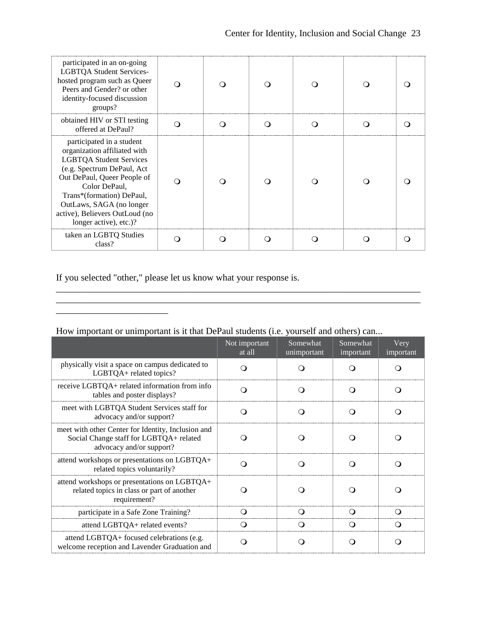| participated in an on-going<br><b>LGBTQA Student Services-</b><br>hosted program such as Queer<br>Peers and Gender? or other<br>identity-focused discussion<br>groups?                                                                                                                         |  |  |     |  |
|------------------------------------------------------------------------------------------------------------------------------------------------------------------------------------------------------------------------------------------------------------------------------------------------|--|--|-----|--|
| obtained HIV or STI testing<br>offered at DePaul?                                                                                                                                                                                                                                              |  |  | - 1 |  |
| participated in a student<br>organization affiliated with<br><b>LGBTQA Student Services</b><br>(e.g. Spectrum DePaul, Act<br>Out DePaul, Queer People of<br>Color DePaul.<br>Trans*(formation) DePaul,<br>OutLaws, SAGA (no longer<br>active), Believers OutLoud (no<br>longer active), etc.)? |  |  |     |  |
| taken an LGBTQ Studies<br>class?                                                                                                                                                                                                                                                               |  |  |     |  |

If you selected "other," please let us know what your response is.

\_\_\_\_\_\_\_\_\_\_\_\_\_\_\_\_\_\_\_\_\_\_\_\_

\_\_\_\_\_\_\_\_\_\_\_\_\_\_\_\_\_\_\_\_\_\_\_\_\_\_\_\_\_\_\_\_\_\_\_\_\_\_\_\_\_\_\_\_\_\_\_\_\_\_\_\_\_\_\_\_\_\_\_\_\_\_\_\_\_\_\_\_\_\_\_\_\_\_\_\_\_\_

|                                                                                                                           | Not important<br>at all | Somewhat<br>unimportant | Somewhat<br>important | Very<br>important |
|---------------------------------------------------------------------------------------------------------------------------|-------------------------|-------------------------|-----------------------|-------------------|
| physically visit a space on campus dedicated to<br>LGBTQA+ related topics?                                                |                         |                         |                       |                   |
| receive LGBTQA+ related information from info<br>tables and poster displays?                                              | . .                     | $\Omega$                | ( )                   | $\Omega$          |
| meet with LGBTQA Student Services staff for<br>advocacy and/or support?                                                   |                         |                         |                       |                   |
| meet with other Center for Identity, Inclusion and<br>Social Change staff for LGBTQA+ related<br>advocacy and/or support? |                         |                         |                       |                   |
| attend workshops or presentations on LGBTQA+<br>related topics voluntarily?                                               |                         |                         |                       |                   |
| attend workshops or presentations on LGBTQA+<br>related topics in class or part of another<br>requirement?                |                         |                         |                       |                   |
| participate in a Safe Zone Training?                                                                                      |                         | ி                       |                       |                   |
| attend LGBTQA+ related events?                                                                                            |                         | ( )                     |                       |                   |
| attend LGBTQA+ focused celebrations (e.g.<br>welcome reception and Lavender Graduation and                                |                         |                         |                       |                   |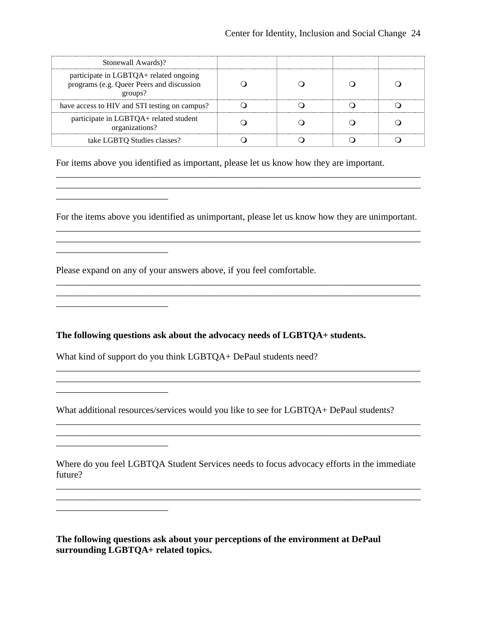| Stonewall Awards)?                                                                             |  |  |
|------------------------------------------------------------------------------------------------|--|--|
| participate in LGBTQA+ related ongoing<br>programs (e.g. Queer Peers and discussion<br>groups? |  |  |
| have access to HIV and STI testing on campus?                                                  |  |  |
| participate in LGBTQA+ related student<br>organizations?                                       |  |  |
| take LGBTQ Studies classes?                                                                    |  |  |

For items above you identified as important, please let us know how they are important.

For the items above you identified as unimportant, please let us know how they are unimportant. \_\_\_\_\_\_\_\_\_\_\_\_\_\_\_\_\_\_\_\_\_\_\_\_\_\_\_\_\_\_\_\_\_\_\_\_\_\_\_\_\_\_\_\_\_\_\_\_\_\_\_\_\_\_\_\_\_\_\_\_\_\_\_\_\_\_\_\_\_\_\_\_\_\_\_\_\_\_

\_\_\_\_\_\_\_\_\_\_\_\_\_\_\_\_\_\_\_\_\_\_\_\_\_\_\_\_\_\_\_\_\_\_\_\_\_\_\_\_\_\_\_\_\_\_\_\_\_\_\_\_\_\_\_\_\_\_\_\_\_\_\_\_\_\_\_\_\_\_\_\_\_\_\_\_\_\_

\_\_\_\_\_\_\_\_\_\_\_\_\_\_\_\_\_\_\_\_\_\_\_\_\_\_\_\_\_\_\_\_\_\_\_\_\_\_\_\_\_\_\_\_\_\_\_\_\_\_\_\_\_\_\_\_\_\_\_\_\_\_\_\_\_\_\_\_\_\_\_\_\_\_\_\_\_\_

\_\_\_\_\_\_\_\_\_\_\_\_\_\_\_\_\_\_\_\_\_\_\_\_\_\_\_\_\_\_\_\_\_\_\_\_\_\_\_\_\_\_\_\_\_\_\_\_\_\_\_\_\_\_\_\_\_\_\_\_\_\_\_\_\_\_\_\_\_\_\_\_\_\_\_\_\_\_ \_\_\_\_\_\_\_\_\_\_\_\_\_\_\_\_\_\_\_\_\_\_\_\_\_\_\_\_\_\_\_\_\_\_\_\_\_\_\_\_\_\_\_\_\_\_\_\_\_\_\_\_\_\_\_\_\_\_\_\_\_\_\_\_\_\_\_\_\_\_\_\_\_\_\_\_\_\_

\_\_\_\_\_\_\_\_\_\_\_\_\_\_\_\_\_\_\_\_\_\_\_\_\_\_\_\_\_\_\_\_\_\_\_\_\_\_\_\_\_\_\_\_\_\_\_\_\_\_\_\_\_\_\_\_\_\_\_\_\_\_\_\_\_\_\_\_\_\_\_\_\_\_\_\_\_\_

\_\_\_\_\_\_\_\_\_\_\_\_\_\_\_\_\_\_\_\_\_\_\_\_\_\_\_\_\_\_\_\_\_\_\_\_\_\_\_\_\_\_\_\_\_\_\_\_\_\_\_\_\_\_\_\_\_\_\_\_\_\_\_\_\_\_\_\_\_\_\_\_\_\_\_\_\_\_

Please expand on any of your answers above, if you feel comfortable.

\_\_\_\_\_\_\_\_\_\_\_\_\_\_\_\_\_\_\_\_\_\_\_\_

\_\_\_\_\_\_\_\_\_\_\_\_\_\_\_\_\_\_\_\_\_\_\_\_

\_\_\_\_\_\_\_\_\_\_\_\_\_\_\_\_\_\_\_\_\_\_\_\_

\_\_\_\_\_\_\_\_\_\_\_\_\_\_\_\_\_\_\_\_\_\_\_\_

\_\_\_\_\_\_\_\_\_\_\_\_\_\_\_\_\_\_\_\_\_\_\_\_

\_\_\_\_\_\_\_\_\_\_\_\_\_\_\_\_\_\_\_\_\_\_\_\_

**The following questions ask about the advocacy needs of LGBTQA+ students.**

What kind of support do you think LGBTOA+ DePaul students need?

What additional resources/services would you like to see for LGBTQA+ DePaul students?

Where do you feel LGBTQA Student Services needs to focus advocacy efforts in the immediate future?

\_\_\_\_\_\_\_\_\_\_\_\_\_\_\_\_\_\_\_\_\_\_\_\_\_\_\_\_\_\_\_\_\_\_\_\_\_\_\_\_\_\_\_\_\_\_\_\_\_\_\_\_\_\_\_\_\_\_\_\_\_\_\_\_\_\_\_\_\_\_\_\_\_\_\_\_\_\_ \_\_\_\_\_\_\_\_\_\_\_\_\_\_\_\_\_\_\_\_\_\_\_\_\_\_\_\_\_\_\_\_\_\_\_\_\_\_\_\_\_\_\_\_\_\_\_\_\_\_\_\_\_\_\_\_\_\_\_\_\_\_\_\_\_\_\_\_\_\_\_\_\_\_\_\_\_\_

**The following questions ask about your perceptions of the environment at DePaul surrounding LGBTQA+ related topics.**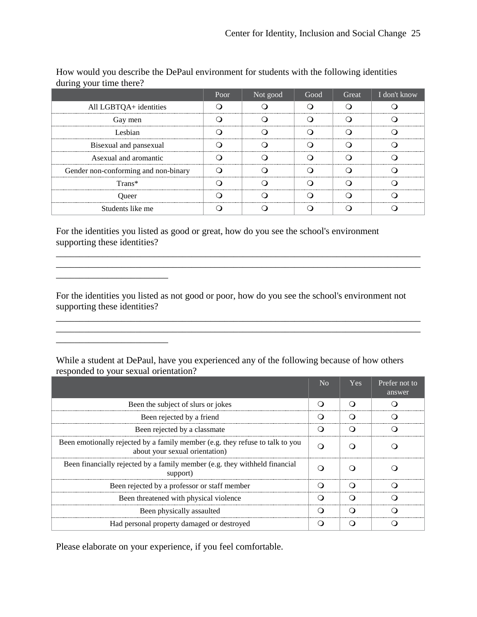|                                      | Poor | Not good | Good | Great T     | I don't know |
|--------------------------------------|------|----------|------|-------------|--------------|
| All LGBTQA+ identities               |      |          |      | ----------- |              |
| Gay men                              |      |          |      |             |              |
| Lesbian                              |      |          |      |             |              |
| Bisexual and pansexual               |      |          |      |             |              |
| Asexual and aromantic                |      |          |      |             |              |
| Gender non-conforming and non-binary |      |          |      |             |              |
| $Trans*$                             |      |          |      |             |              |
| Jueer                                |      |          |      |             |              |
| Students like me                     |      |          |      |             |              |

How would you describe the DePaul environment for students with the following identities during your time there?

For the identities you listed as good or great, how do you see the school's environment supporting these identities?

For the identities you listed as not good or poor, how do you see the school's environment not supporting these identities?

\_\_\_\_\_\_\_\_\_\_\_\_\_\_\_\_\_\_\_\_\_\_\_\_\_\_\_\_\_\_\_\_\_\_\_\_\_\_\_\_\_\_\_\_\_\_\_\_\_\_\_\_\_\_\_\_\_\_\_\_\_\_\_\_\_\_\_\_\_\_\_\_\_\_\_\_\_\_

\_\_\_\_\_\_\_\_\_\_\_\_\_\_\_\_\_\_\_\_\_\_\_\_\_\_\_\_\_\_\_\_\_\_\_\_\_\_\_\_\_\_\_\_\_\_\_\_\_\_\_\_\_\_\_\_\_\_\_\_\_\_\_\_\_\_\_\_\_\_\_\_\_\_\_\_\_\_

While a student at DePaul, have you experienced any of the following because of how others responded to your sexual orientation?

|                                                                                                                 | Yes. | Prefer not to<br>answer |
|-----------------------------------------------------------------------------------------------------------------|------|-------------------------|
| Been the subject of slurs or jokes                                                                              |      |                         |
| Been rejected by a friend                                                                                       |      |                         |
| Been rejected by a classmate                                                                                    |      |                         |
| Been emotionally rejected by a family member (e.g. they refuse to talk to you<br>about your sexual orientation) |      |                         |
| Been financially rejected by a family member (e.g. they withheld financial<br>support)                          |      |                         |
| Been rejected by a professor or staff member                                                                    |      |                         |
| Been threatened with physical violence                                                                          |      |                         |
| Been physically assaulted                                                                                       |      |                         |
| Had personal property damaged or destroyed                                                                      |      |                         |

Please elaborate on your experience, if you feel comfortable.

 $\mathcal{L}_\text{max}$  and  $\mathcal{L}_\text{max}$  and  $\mathcal{L}_\text{max}$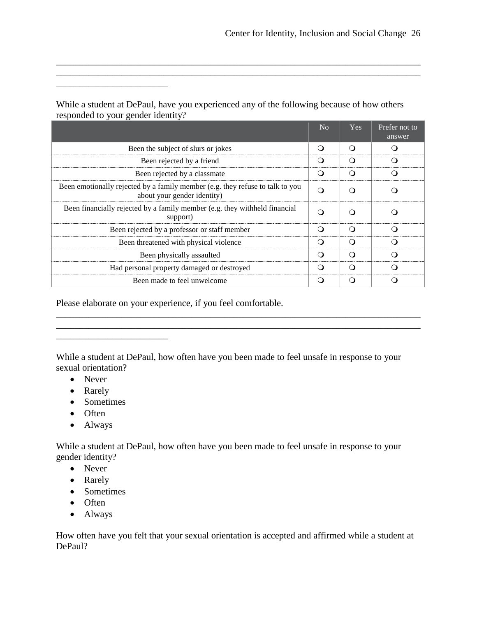|                                                                                                              | $\overline{N}_{\Omega}$ | <b>Yes</b> | Prefer not to<br>answer |
|--------------------------------------------------------------------------------------------------------------|-------------------------|------------|-------------------------|
| Been the subject of slurs or jokes                                                                           |                         |            |                         |
| Been rejected by a friend                                                                                    | (1                      | - 1        |                         |
| Been rejected by a classmate                                                                                 |                         |            |                         |
| Been emotionally rejected by a family member (e.g. they refuse to talk to you<br>about your gender identity) |                         |            |                         |
| Been financially rejected by a family member (e.g. they withheld financial<br>support)                       |                         |            |                         |
| Been rejected by a professor or staff member                                                                 |                         |            |                         |
| Been threatened with physical violence                                                                       | (1                      |            |                         |
| Been physically assaulted                                                                                    |                         |            |                         |
| Had personal property damaged or destroyed                                                                   | . .                     |            |                         |
| Been made to feel unwelcome                                                                                  |                         |            |                         |

While a student at DePaul, have you experienced any of the following because of how others responded to your gender identity?

\_\_\_\_\_\_\_\_\_\_\_\_\_\_\_\_\_\_\_\_\_\_\_\_\_\_\_\_\_\_\_\_\_\_\_\_\_\_\_\_\_\_\_\_\_\_\_\_\_\_\_\_\_\_\_\_\_\_\_\_\_\_\_\_\_\_\_\_\_\_\_\_\_\_\_\_\_\_ \_\_\_\_\_\_\_\_\_\_\_\_\_\_\_\_\_\_\_\_\_\_\_\_\_\_\_\_\_\_\_\_\_\_\_\_\_\_\_\_\_\_\_\_\_\_\_\_\_\_\_\_\_\_\_\_\_\_\_\_\_\_\_\_\_\_\_\_\_\_\_\_\_\_\_\_\_\_

Please elaborate on your experience, if you feel comfortable.

While a student at DePaul, how often have you been made to feel unsafe in response to your sexual orientation?

\_\_\_\_\_\_\_\_\_\_\_\_\_\_\_\_\_\_\_\_\_\_\_\_\_\_\_\_\_\_\_\_\_\_\_\_\_\_\_\_\_\_\_\_\_\_\_\_\_\_\_\_\_\_\_\_\_\_\_\_\_\_\_\_\_\_\_\_\_\_\_\_\_\_\_\_\_\_

\_\_\_\_\_\_\_\_\_\_\_\_\_\_\_\_\_\_\_\_\_\_\_\_\_\_\_\_\_\_\_\_\_\_\_\_\_\_\_\_\_\_\_\_\_\_\_\_\_\_\_\_\_\_\_\_\_\_\_\_\_\_\_\_\_\_\_\_\_\_\_\_\_\_\_\_\_\_

- Never
- Rarely
- Sometimes

\_\_\_\_\_\_\_\_\_\_\_\_\_\_\_\_\_\_\_\_\_\_\_\_

\_\_\_\_\_\_\_\_\_\_\_\_\_\_\_\_\_\_\_\_\_\_\_\_

- Often
- Always

While a student at DePaul, how often have you been made to feel unsafe in response to your gender identity?

- Never
- Rarely
- Sometimes
- Often
- Always

How often have you felt that your sexual orientation is accepted and affirmed while a student at DePaul?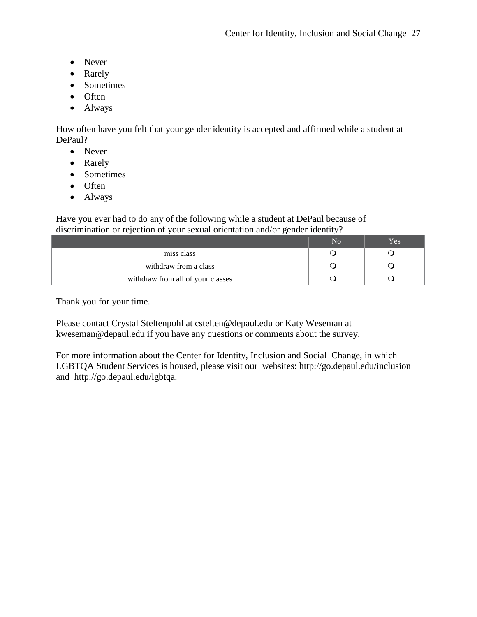- Never
- Rarely
- Sometimes
- Often
- Always

How often have you felt that your gender identity is accepted and affirmed while a student at DePaul?

- Never
- Rarely
- Sometimes
- Often
- Always

Have you ever had to do any of the following while a student at DePaul because of discrimination or rejection of your sexual orientation and/or gender identity?

|                                   | r es |
|-----------------------------------|------|
| miss class                        |      |
| withdraw from a class             |      |
| withdraw from all of your classes |      |

Thank you for your time.

Please contact Crystal Steltenpohl at cstelten@depaul.edu or Katy Weseman at kweseman@depaul.edu if you have any questions or comments about the survey.

For more information about the Center for Identity, Inclusion and Social Change, in which LGBTQA Student Services is housed, please visit our websites: http://go.depaul.edu/inclusion and http://go.depaul.edu/lgbtqa.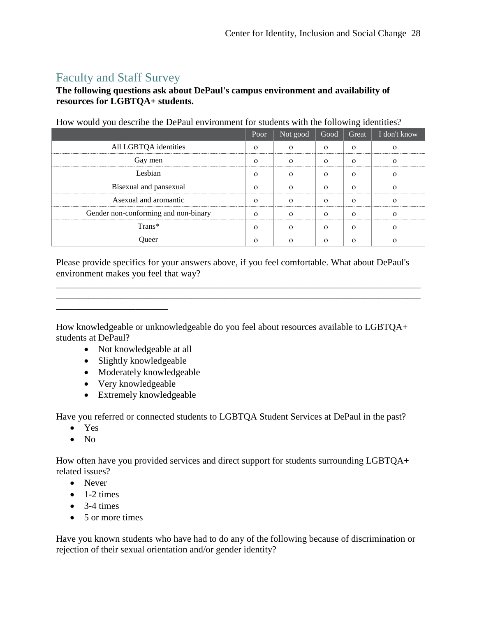# Faculty and Staff Survey

#### **The following questions ask about DePaul's campus environment and availability of resources for LGBTQA+ students.**

|                                      | Poor | Not good | Good | Great $\vert$ I don't know |
|--------------------------------------|------|----------|------|----------------------------|
| All LGBTQA identities                |      |          |      |                            |
| Gay men                              |      |          |      |                            |
| Leshian.                             |      |          |      |                            |
| Bisexual and pansexual               |      |          |      |                            |
| Asexual and aromantic                |      |          |      |                            |
| Gender non-conforming and non-binary |      |          |      |                            |
| Trans*                               |      |          |      |                            |
|                                      |      |          |      |                            |

How would you describe the DePaul environment for students with the following identities?

Please provide specifics for your answers above, if you feel comfortable. What about DePaul's environment makes you feel that way?

\_\_\_\_\_\_\_\_\_\_\_\_\_\_\_\_\_\_\_\_\_\_\_\_\_\_\_\_\_\_\_\_\_\_\_\_\_\_\_\_\_\_\_\_\_\_\_\_\_\_\_\_\_\_\_\_\_\_\_\_\_\_\_\_\_\_\_\_\_\_\_\_\_\_\_\_\_\_ \_\_\_\_\_\_\_\_\_\_\_\_\_\_\_\_\_\_\_\_\_\_\_\_\_\_\_\_\_\_\_\_\_\_\_\_\_\_\_\_\_\_\_\_\_\_\_\_\_\_\_\_\_\_\_\_\_\_\_\_\_\_\_\_\_\_\_\_\_\_\_\_\_\_\_\_\_\_

How knowledgeable or unknowledgeable do you feel about resources available to LGBTQA+ students at DePaul?

- Not knowledgeable at all
- Slightly knowledgeable
- Moderately knowledgeable
- Very knowledgeable

\_\_\_\_\_\_\_\_\_\_\_\_\_\_\_\_\_\_\_\_\_\_\_\_

• Extremely knowledgeable

Have you referred or connected students to LGBTQA Student Services at DePaul in the past?

- Yes
- $\bullet$  No

How often have you provided services and direct support for students surrounding LGBTQA+ related issues?

- Never
- $\bullet$  1-2 times
- $\bullet$  3-4 times
- 5 or more times

Have you known students who have had to do any of the following because of discrimination or rejection of their sexual orientation and/or gender identity?